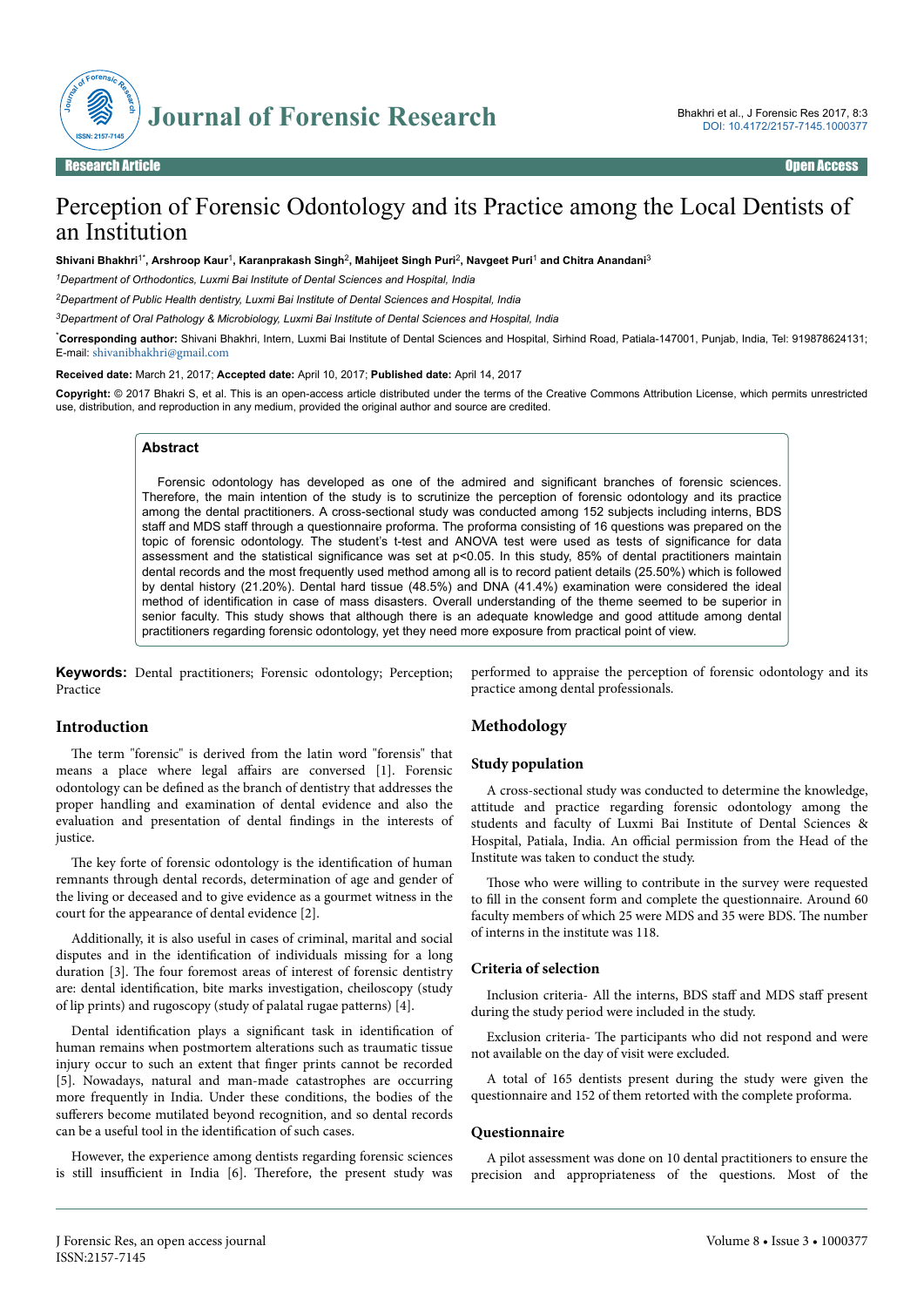

# Perception of Forensic Odontology and its Practice among the Local Dentists of an Institution

**Shivani Bhakhri**1\***, Arshroop Kaur**<sup>1</sup> **, Karanprakash Singh**<sup>2</sup> **, Mahijeet Singh Puri**<sup>2</sup> **, Navgeet Puri**<sup>1</sup>  **and Chitra Anandani**<sup>3</sup>

*<sup>1</sup>Department of Orthodontics, Luxmi Bai Institute of Dental Sciences and Hospital, India*

*<sup>2</sup>Department of Public Health dentistry, Luxmi Bai Institute of Dental Sciences and Hospital, India*

*<sup>3</sup>Department of Oral Pathology & Microbiology, Luxmi Bai Institute of Dental Sciences and Hospital, India*

\***Corresponding author:** Shivani Bhakhri, Intern, Luxmi Bai Institute of Dental Sciences and Hospital, Sirhind Road, Patiala-147001, Punjab, India, Tel: 919878624131; E-mail: [shivanibhakhri@gmail.com](mailto:shivanibhakhri@gmail.com)

**Received date:** March 21, 2017; **Accepted date:** April 10, 2017; **Published date:** April 14, 2017

**Copyright:** © 2017 Bhakri S, et al. This is an open-access article distributed under the terms of the Creative Commons Attribution License, which permits unrestricted use, distribution, and reproduction in any medium, provided the original author and source are credited.

#### **Abstract**

Forensic odontology has developed as one of the admired and significant branches of forensic sciences. Therefore, the main intention of the study is to scrutinize the perception of forensic odontology and its practice among the dental practitioners. A cross-sectional study was conducted among 152 subjects including interns, BDS staff and MDS staff through a questionnaire proforma. The proforma consisting of 16 questions was prepared on the topic of forensic odontology. The student's t-test and ANOVA test were used as tests of significance for data assessment and the statistical significance was set at p<0.05. In this study, 85% of dental practitioners maintain dental records and the most frequently used method among all is to record patient details (25.50%) which is followed by dental history (21.20%). Dental hard tissue (48.5%) and DNA (41.4%) examination were considered the ideal method of identification in case of mass disasters. Overall understanding of the theme seemed to be superior in senior faculty. This study shows that although there is an adequate knowledge and good attitude among dental practitioners regarding forensic odontology, yet they need more exposure from practical point of view.

**Keywords:** Dental practitioners; Forensic odontology; Perception; Practice

## **Introduction**

The term "forensic" is derived from the latin word "forensis" that means a place where legal affairs are conversed [1]. Forensic odontology can be defined as the branch of dentistry that addresses the proper handling and examination of dental evidence and also the evaluation and presentation of dental findings in the interests of justice.

The key forte of forensic odontology is the identification of human remnants through dental records, determination of age and gender of the living or deceased and to give evidence as a gourmet witness in the court for the appearance of dental evidence [2].

Additionally, it is also useful in cases of criminal, marital and social disputes and in the identification of individuals missing for a long duration [3]. Нe four foremost areas of interest of forensic dentistry are: dental identification, bite marks investigation, cheiloscopy (study of lip prints) and rugoscopy (study of palatal rugae patterns) [4].

Dental identification plays a significant task in identification of human remains when postmortem alterations such as traumatic tissue injury occur to such an extent that finger prints cannot be recorded [5]. Nowadays, natural and man-made catastrophes are occurring more frequently in India. Under these conditions, the bodies of the sufferers become mutilated beyond recognition, and so dental records can be a useful tool in the identification of such cases.

However, the experience among dentists regarding forensic sciences is still insufficient in India [6]. Therefore, the present study was performed to appraise the perception of forensic odontology and its practice among dental professionals.

# **Methodology**

#### **Study population**

A cross-sectional study was conducted to determine the knowledge, attitude and practice regarding forensic odontology among the students and faculty of Luxmi Bai Institute of Dental Sciences & Hospital, Patiala, India. An official permission from the Head of the Institute was taken to conduct the study.

Those who were willing to contribute in the survey were requested to fill in the consent form and complete the questionnaire. Around 60 faculty members of which 25 were MDS and 35 were BDS. Нe number of interns in the institute was 118.

### **Criteria of selection**

Inclusion criteria- All the interns, BDS staff and MDS staff present during the study period were included in the study.

Exclusion criteria- Нe participants who did not respond and were not available on the day of visit were excluded.

A total of 165 dentists present during the study were given the questionnaire and 152 of them retorted with the complete proforma.

#### **Questionnaire**

A pilot assessment was done on 10 dental practitioners to ensure the precision and appropriateness of the questions. Most of the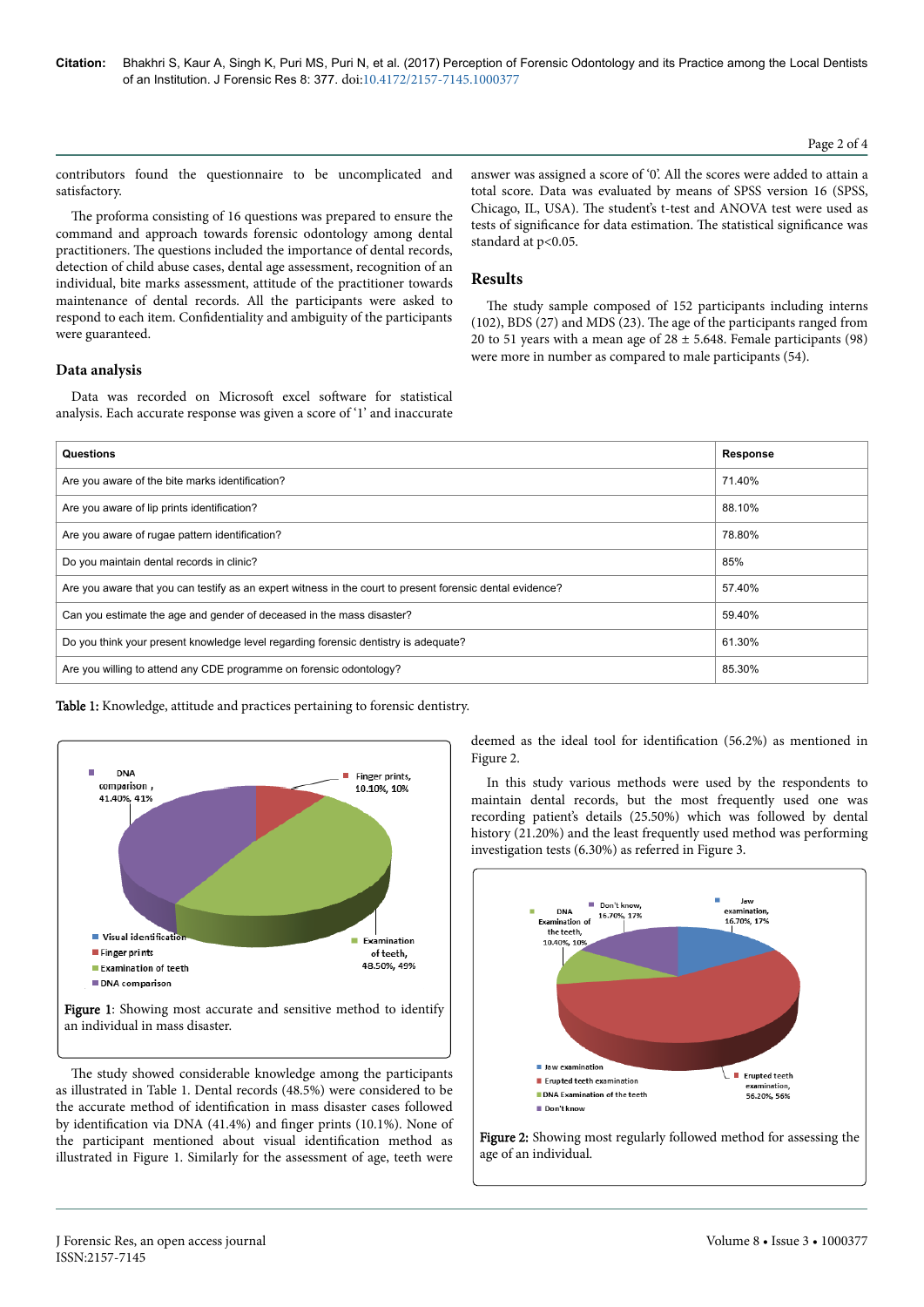## Page 2 of 4

contributors found the questionnaire to be uncomplicated and satisfactory.

The proforma consisting of 16 questions was prepared to ensure the command and approach towards forensic odontology among dental practitioners. Нe questions included the importance of dental records, detection of child abuse cases, dental age assessment, recognition of an individual, bite marks assessment, attitude of the practitioner towards maintenance of dental records. All the participants were asked to respond to each item. Confidentiality and ambiguity of the participants were guaranteed.

**Data analysis**

Data was recorded on Microsoft excel software for statistical analysis. Each accurate response was given a score of '1' and inaccurate

answer was assigned a score of '0'. All the scores were added to attain a total score. Data was evaluated by means of SPSS version 16 (SPSS, Chicago, IL, USA). Нe student's t-test and ANOVA test were used as tests of significance for data estimation. The statistical significance was standard at p<0.05.

## **Results**

The study sample composed of 152 participants including interns (102), BDS (27) and MDS (23). Нe age of the participants ranged from 20 to 51 years with a mean age of  $28 \pm 5.648$ . Female participants (98) were more in number as compared to male participants (54).

| Questions                                                                                                 | <b>Response</b> |
|-----------------------------------------------------------------------------------------------------------|-----------------|
| Are you aware of the bite marks identification?                                                           | 71.40%          |
| Are you aware of lip prints identification?                                                               | 88.10%          |
| Are you aware of rugae pattern identification?                                                            | 78.80%          |
| Do you maintain dental records in clinic?                                                                 | 85%             |
| Are you aware that you can testify as an expert witness in the court to present forensic dental evidence? | 57.40%          |
| Can you estimate the age and gender of deceased in the mass disaster?                                     | 59.40%          |
| Do you think your present knowledge level regarding forensic dentistry is adequate?                       | 61.30%          |
| Are you willing to attend any CDE programme on forensic odontology?                                       | 85.30%          |

Table 1: Knowledge, attitude and practices pertaining to forensic dentistry.



an individual in mass disaster.

The study showed considerable knowledge among the participants as illustrated in Table 1. Dental records (48.5%) were considered to be the accurate method of identification in mass disaster cases followed by identification via DNA  $(41.4\%)$  and finger prints  $(10.1\%)$ . None of the participant mentioned about visual identification method as illustrated in Figure 1. Similarly for the assessment of age, teeth were deemed as the ideal tool for identification (56.2%) as mentioned in Figure 2.

In this study various methods were used by the respondents to maintain dental records, but the most frequently used one was recording patient's details (25.50%) which was followed by dental history (21.20%) and the least frequently used method was performing investigation tests (6.30%) as referred in Figure 3.



Figure 2: Showing most regularly followed method for assessing the age of an individual.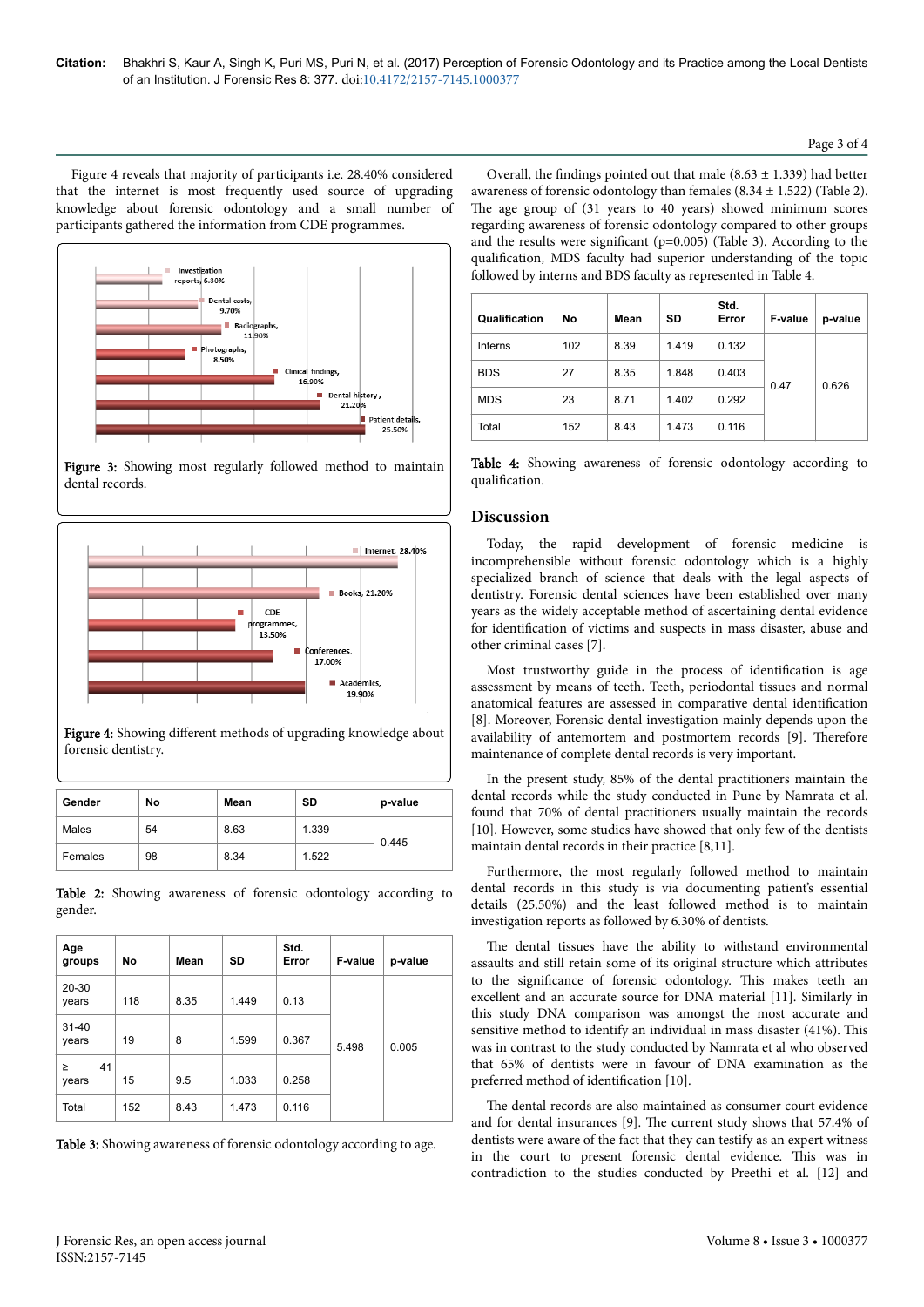Figure 4 reveals that majority of participants i.e. 28.40% considered that the internet is most frequently used source of upgrading knowledge about forensic odontology and a small number of participants gathered the information from CDE programmes.



Figure 3: Showing most regularly followed method to maintain dental records.



Figure 4: Showing different methods of upgrading knowledge about forensic dentistry.

| Gender  | No | Mean | SD    | p-value |
|---------|----|------|-------|---------|
| Males   | 54 | 8.63 | 1.339 | 0.445   |
| Females | 98 | 8.34 | 1.522 |         |

Table 2: Showing awareness of forensic odontology according to gender.

| Age<br>groups         | No  | Mean | <b>SD</b> | Std.<br>Error | F-value | p-value |
|-----------------------|-----|------|-----------|---------------|---------|---------|
| 20-30<br>years        | 118 | 8.35 | 1.449     | 0.13          |         |         |
| $31 - 40$<br>years    | 19  | 8    | 1.599     | 0.367         | 5.498   | 0.005   |
| 41<br>$\geq$<br>years | 15  | 9.5  | 1.033     | 0.258         |         |         |
| Total                 | 152 | 8.43 | 1.473     | 0.116         |         |         |

Table 3: Showing awareness of forensic odontology according to age.

Overall, the findings pointed out that male (8.63  $\pm$  1.339) had better awareness of forensic odontology than females  $(8.34 \pm 1.522)$  (Table 2). The age group of (31 years to 40 years) showed minimum scores regarding awareness of forensic odontology compared to other groups and the results were significant (p=0.005) (Table 3). According to the qualification, MDS faculty had superior understanding of the topic followed by interns and BDS faculty as represented in Table 4.

| Qualification | No  | Mean | SD    | Std.<br>Error | F-value | p-value |
|---------------|-----|------|-------|---------------|---------|---------|
| Interns       | 102 | 8.39 | 1.419 | 0.132         |         |         |
| <b>BDS</b>    | 27  | 8.35 | 1.848 | 0.403         | 0.47    | 0.626   |
| <b>MDS</b>    | 23  | 8.71 | 1.402 | 0.292         |         |         |
| Total         | 152 | 8.43 | 1.473 | 0.116         |         |         |

|                |  |  | Table 4: Showing awareness of forensic odontology according to |  |
|----------------|--|--|----------------------------------------------------------------|--|
| qualification. |  |  |                                                                |  |

## **Discussion**

Today, the rapid development of forensic medicine is incomprehensible without forensic odontology which is a highly specialized branch of science that deals with the legal aspects of dentistry. Forensic dental sciences have been established over many years as the widely acceptable method of ascertaining dental evidence for identification of victims and suspects in mass disaster, abuse and other criminal cases [7].

Most trustworthy guide in the process of identification is age assessment by means of teeth. Teeth, periodontal tissues and normal anatomical features are assessed in comparative dental identification [8]. Moreover, Forensic dental investigation mainly depends upon the availability of antemortem and postmortem records [9]. Нerefore maintenance of complete dental records is very important.

In the present study, 85% of the dental practitioners maintain the dental records while the study conducted in Pune by Namrata et al. found that 70% of dental practitioners usually maintain the records [10]. However, some studies have showed that only few of the dentists maintain dental records in their practice [8,11].

Furthermore, the most regularly followed method to maintain dental records in this study is via documenting patient's essential details (25.50%) and the least followed method is to maintain investigation reports as followed by 6.30% of dentists.

The dental tissues have the ability to withstand environmental assaults and still retain some of its original structure which attributes to the significance of forensic odontology. This makes teeth an excellent and an accurate source for DNA material [11]. Similarly in this study DNA comparison was amongst the most accurate and sensitive method to identify an individual in mass disaster (41%). Нis was in contrast to the study conducted by Namrata et al who observed that 65% of dentists were in favour of DNA examination as the preferred method of identification [10].

The dental records are also maintained as consumer court evidence and for dental insurances [9]. Нe current study shows that 57.4% of dentists were aware of the fact that they can testify as an expert witness in the court to present forensic dental evidence. Нis was in contradiction to the studies conducted by Preethi et al. [12] and